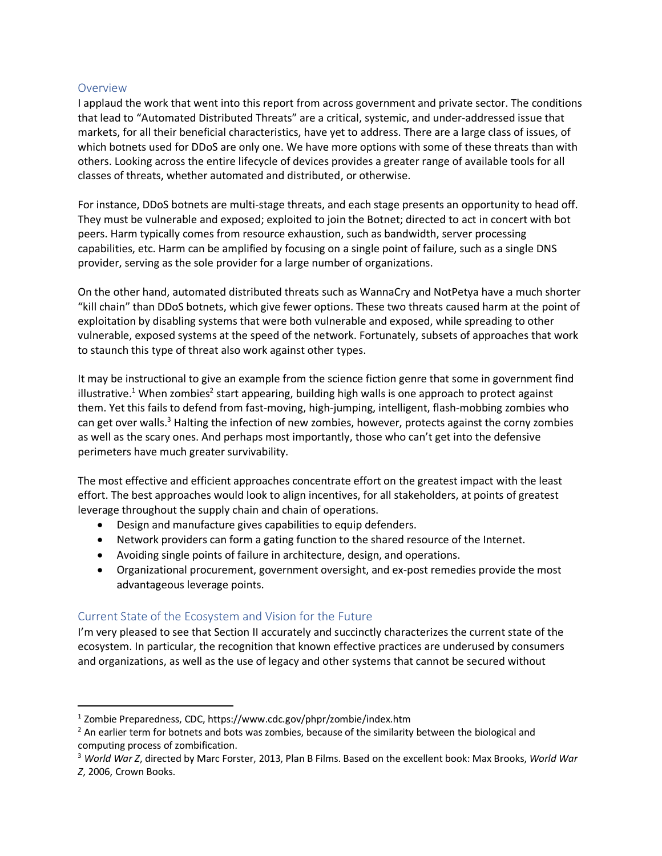## Overview

I applaud the work that went into this report from across government and private sector. The conditions that lead to "Automated Distributed Threats" are a critical, systemic, and under-addressed issue that markets, for all their beneficial characteristics, have yet to address. There are a large class of issues, of which botnets used for DDoS are only one. We have more options with some of these threats than with others. Looking across the entire lifecycle of devices provides a greater range of available tools for all classes of threats, whether automated and distributed, or otherwise.

For instance, DDoS botnets are multi-stage threats, and each stage presents an opportunity to head off. They must be vulnerable and exposed; exploited to join the Botnet; directed to act in concert with bot peers. Harm typically comes from resource exhaustion, such as bandwidth, server processing capabilities, etc. Harm can be amplified by focusing on a single point of failure, such as a single DNS provider, serving as the sole provider for a large number of organizations.

On the other hand, automated distributed threats such as WannaCry and NotPetya have a much shorter "kill chain" than DDoS botnets, which give fewer options. These two threats caused harm at the point of exploitation by disabling systems that were both vulnerable and exposed, while spreading to other vulnerable, exposed systems at the speed of the network. Fortunately, subsets of approaches that work to staunch this type of threat also work against other types.

It may be instructional to give an example from the science fiction genre that some in government find illustrative.<sup>1</sup> When zombies<sup>2</sup> start appearing, building high walls is one approach to protect against them. Yet this fails to defend from fast-moving, high-jumping, intelligent, flash-mobbing zombies who can get over walls.<sup>3</sup> Halting the infection of new zombies, however, protects against the corny zombies as well as the scary ones. And perhaps most importantly, those who can't get into the defensive perimeters have much greater survivability.

The most effective and efficient approaches concentrate effort on the greatest impact with the least effort. The best approaches would look to align incentives, for all stakeholders, at points of greatest leverage throughout the supply chain and chain of operations.

- Design and manufacture gives capabilities to equip defenders.
- Network providers can form a gating function to the shared resource of the Internet.
- Avoiding single points of failure in architecture, design, and operations.
- Organizational procurement, government oversight, and ex-post remedies provide the most advantageous leverage points.

## Current State of the Ecosystem and Vision for the Future

I'm very pleased to see that Section II accurately and succinctly characterizes the current state of the ecosystem. In particular, the recognition that known effective practices are underused by consumers and organizations, as well as the use of legacy and other systems that cannot be secured without

 <sup>1</sup> Zombie Preparedness, CDC, https://www.cdc.gov/phpr/zombie/index.htm

 $<sup>2</sup>$  An earlier term for botnets and bots was zombies, because of the similarity between the biological and</sup> computing process of zombification.

<sup>3</sup> *World War Z*, directed by Marc Forster, 2013, Plan B Films. Based on the excellent book: Max Brooks, *World War Z*, 2006, Crown Books.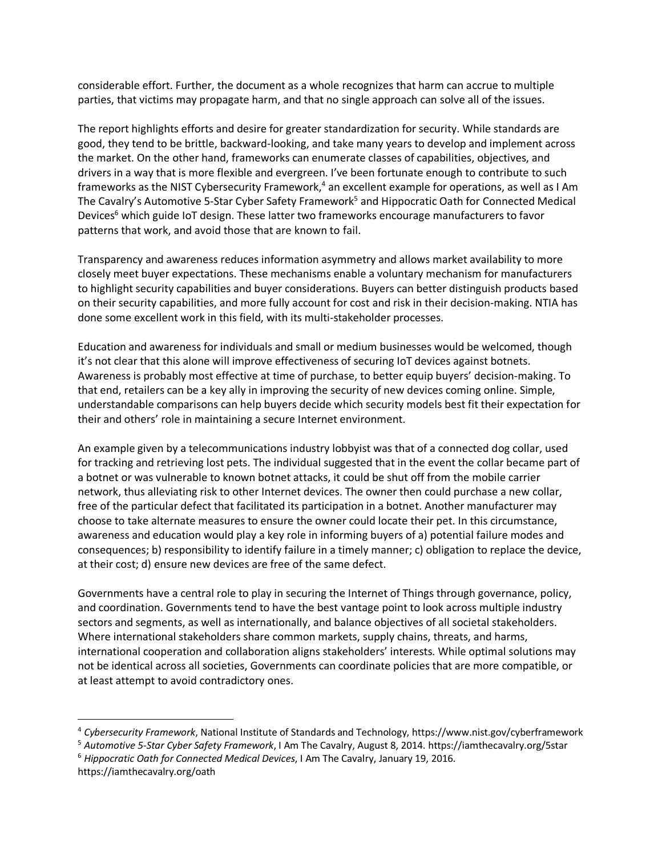considerable effort. Further, the document as a whole recognizes that harm can accrue to multiple parties, that victims may propagate harm, and that no single approach can solve all of the issues.

The report highlights efforts and desire for greater standardization for security. While standards are good, they tend to be brittle, backward-looking, and take many years to develop and implement across the market. On the other hand, frameworks can enumerate classes of capabilities, objectives, and drivers in a way that is more flexible and evergreen. I've been fortunate enough to contribute to such frameworks as the NIST Cybersecurity Framework, <sup>4</sup> an excellent example for operations, as well as I Am The Cavalry's Automotive 5-Star Cyber Safety Framework<sup>5</sup> and Hippocratic Oath for Connected Medical Devices<sup>6</sup> which guide IoT design. These latter two frameworks encourage manufacturers to favor patterns that work, and avoid those that are known to fail.

Transparency and awareness reduces information asymmetry and allows market availability to more closely meet buyer expectations. These mechanisms enable a voluntary mechanism for manufacturers to highlight security capabilities and buyer considerations. Buyers can better distinguish products based on their security capabilities, and more fully account for cost and risk in their decision-making. NTIA has done some excellent work in this field, with its multi-stakeholder processes.

Education and awareness for individuals and small or medium businesses would be welcomed, though it's not clear that this alone will improve effectiveness of securing IoT devices against botnets. Awareness is probably most effective at time of purchase, to better equip buyers' decision-making. To that end, retailers can be a key ally in improving the security of new devices coming online. Simple, understandable comparisons can help buyers decide which security models best fit their expectation for their and others' role in maintaining a secure Internet environment.

An example given by a telecommunications industry lobbyist was that of a connected dog collar, used for tracking and retrieving lost pets. The individual suggested that in the event the collar became part of a botnet or was vulnerable to known botnet attacks, it could be shut off from the mobile carrier network, thus alleviating risk to other Internet devices. The owner then could purchase a new collar, free of the particular defect that facilitated its participation in a botnet. Another manufacturer may choose to take alternate measures to ensure the owner could locate their pet. In this circumstance, awareness and education would play a key role in informing buyers of a) potential failure modes and consequences; b) responsibility to identify failure in a timely manner; c) obligation to replace the device, at their cost; d) ensure new devices are free of the same defect.

Governments have a central role to play in securing the Internet of Things through governance, policy, and coordination. Governments tend to have the best vantage point to look across multiple industry sectors and segments, as well as internationally, and balance objectives of all societal stakeholders. Where international stakeholders share common markets, supply chains, threats, and harms, international cooperation and collaboration aligns stakeholders' interests. While optimal solutions may not be identical across all societies, Governments can coordinate policies that are more compatible, or at least attempt to avoid contradictory ones.

 <sup>4</sup> *Cybersecurity Framework*, National Institute of Standards and Technology, https://www.nist.gov/cyberframework

<sup>5</sup> *Automotive 5-Star Cyber Safety Framework*, I Am The Cavalry, August 8, 2014. https://iamthecavalry.org/5star

<sup>6</sup> *Hippocratic Oath for Connected Medical Devices*, I Am The Cavalry, January 19, 2016. https://iamthecavalry.org/oath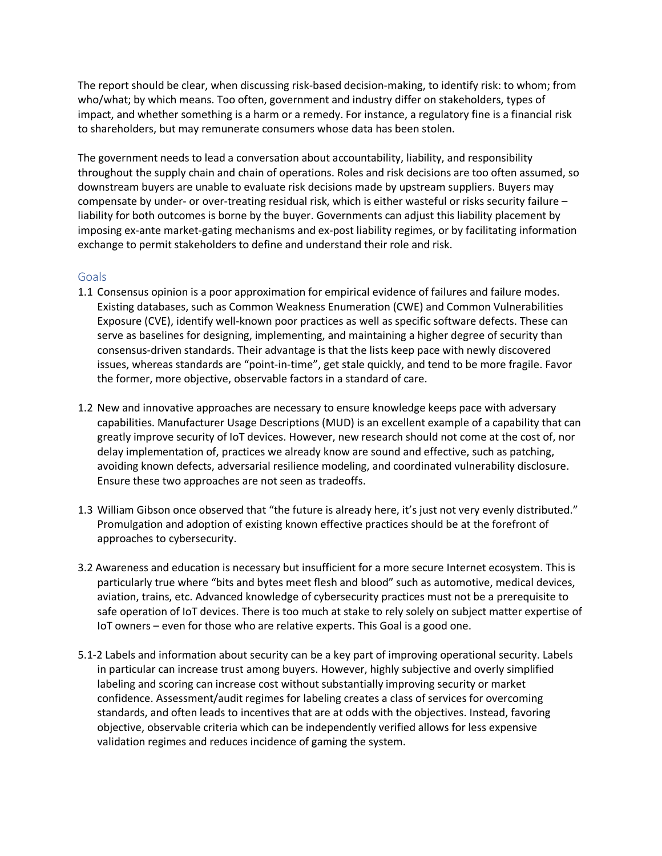The report should be clear, when discussing risk-based decision-making, to identify risk: to whom; from who/what; by which means. Too often, government and industry differ on stakeholders, types of impact, and whether something is a harm or a remedy. For instance, a regulatory fine is a financial risk to shareholders, but may remunerate consumers whose data has been stolen.

The government needs to lead a conversation about accountability, liability, and responsibility throughout the supply chain and chain of operations. Roles and risk decisions are too often assumed, so downstream buyers are unable to evaluate risk decisions made by upstream suppliers. Buyers may compensate by under- or over-treating residual risk, which is either wasteful or risks security failure – liability for both outcomes is borne by the buyer. Governments can adjust this liability placement by imposing ex-ante market-gating mechanisms and ex-post liability regimes, or by facilitating information exchange to permit stakeholders to define and understand their role and risk.

## Goals

- 1.1 Consensus opinion is a poor approximation for empirical evidence of failures and failure modes. Existing databases, such as Common Weakness Enumeration (CWE) and Common Vulnerabilities Exposure (CVE), identify well-known poor practices as well as specific software defects. These can serve as baselines for designing, implementing, and maintaining a higher degree of security than consensus-driven standards. Their advantage is that the lists keep pace with newly discovered issues, whereas standards are "point-in-time", get stale quickly, and tend to be more fragile. Favor the former, more objective, observable factors in a standard of care.
- 1.2 New and innovative approaches are necessary to ensure knowledge keeps pace with adversary capabilities. Manufacturer Usage Descriptions (MUD) is an excellent example of a capability that can greatly improve security of IoT devices. However, new research should not come at the cost of, nor delay implementation of, practices we already know are sound and effective, such as patching, avoiding known defects, adversarial resilience modeling, and coordinated vulnerability disclosure. Ensure these two approaches are not seen as tradeoffs.
- 1.3 William Gibson once observed that "the future is already here, it's just not very evenly distributed." Promulgation and adoption of existing known effective practices should be at the forefront of approaches to cybersecurity.
- 3.2 Awareness and education is necessary but insufficient for a more secure Internet ecosystem. This is particularly true where "bits and bytes meet flesh and blood" such as automotive, medical devices, aviation, trains, etc. Advanced knowledge of cybersecurity practices must not be a prerequisite to safe operation of IoT devices. There is too much at stake to rely solely on subject matter expertise of IoT owners – even for those who are relative experts. This Goal is a good one.
- 5.1-2 Labels and information about security can be a key part of improving operational security. Labels in particular can increase trust among buyers. However, highly subjective and overly simplified labeling and scoring can increase cost without substantially improving security or market confidence. Assessment/audit regimes for labeling creates a class of services for overcoming standards, and often leads to incentives that are at odds with the objectives. Instead, favoring objective, observable criteria which can be independently verified allows for less expensive validation regimes and reduces incidence of gaming the system.